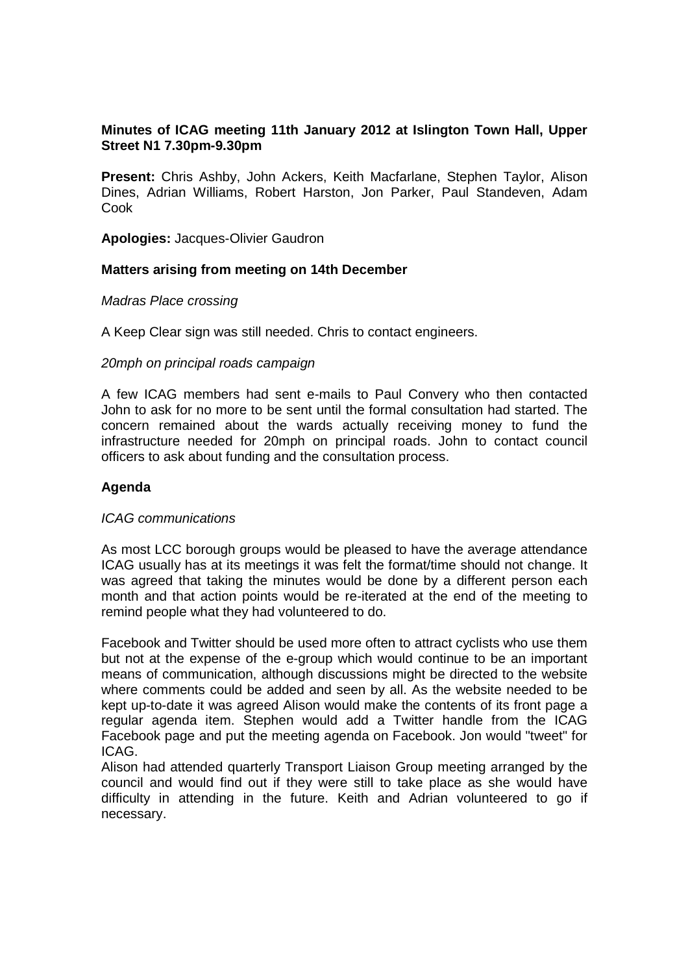# **Minutes of ICAG meeting 11th January 2012 at Islington Town Hall, Upper Street N1 7.30pm-9.30pm**

**Present:** Chris Ashby, John Ackers, Keith Macfarlane, Stephen Taylor, Alison Dines, Adrian Williams, Robert Harston, Jon Parker, Paul Standeven, Adam Cook

**Apologies:** Jacques-Olivier Gaudron

### **Matters arising from meeting on 14th December**

Madras Place crossing

A Keep Clear sign was still needed. Chris to contact engineers.

#### 20mph on principal roads campaign

A few ICAG members had sent e-mails to Paul Convery who then contacted John to ask for no more to be sent until the formal consultation had started. The concern remained about the wards actually receiving money to fund the infrastructure needed for 20mph on principal roads. John to contact council officers to ask about funding and the consultation process.

### **Agenda**

### ICAG communications

As most LCC borough groups would be pleased to have the average attendance ICAG usually has at its meetings it was felt the format/time should not change. It was agreed that taking the minutes would be done by a different person each month and that action points would be re-iterated at the end of the meeting to remind people what they had volunteered to do.

Facebook and Twitter should be used more often to attract cyclists who use them but not at the expense of the e-group which would continue to be an important means of communication, although discussions might be directed to the website where comments could be added and seen by all. As the website needed to be kept up-to-date it was agreed Alison would make the contents of its front page a regular agenda item. Stephen would add a Twitter handle from the ICAG Facebook page and put the meeting agenda on Facebook. Jon would "tweet" for ICAG.

Alison had attended quarterly Transport Liaison Group meeting arranged by the council and would find out if they were still to take place as she would have difficulty in attending in the future. Keith and Adrian volunteered to go if necessary.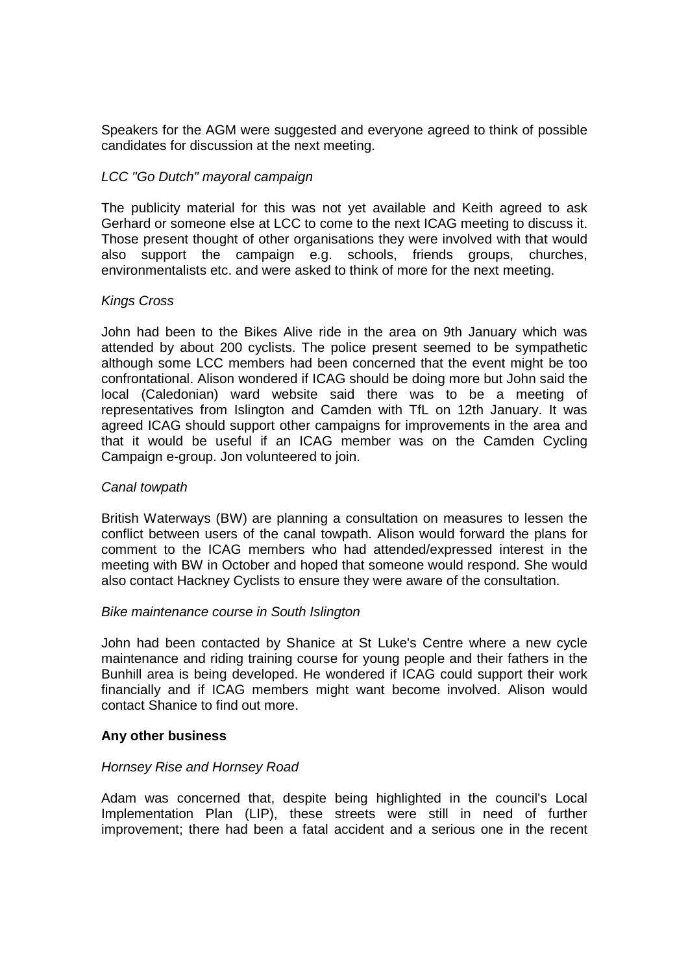Speakers for the AGM were suggested and everyone agreed to think of possible candidates for discussion at the next meeting.

## LCC "Go Dutch" mayoral campaign

The publicity material for this was not yet available and Keith agreed to ask Gerhard or someone else at LCC to come to the next ICAG meeting to discuss it. Those present thought of other organisations they were involved with that would also support the campaign e.g. schools, friends groups, churches, environmentalists etc. and were asked to think of more for the next meeting.

### Kings Cross

John had been to the Bikes Alive ride in the area on 9th January which was attended by about 200 cyclists. The police present seemed to be sympathetic although some LCC members had been concerned that the event might be too confrontational. Alison wondered if ICAG should be doing more but John said the local (Caledonian) ward website said there was to be a meeting of representatives from Islington and Camden with TfL on 12th January. It was agreed ICAG should support other campaigns for improvements in the area and that it would be useful if an ICAG member was on the Camden Cycling Campaign e-group. Jon volunteered to join.

## Canal towpath

British Waterways (BW) are planning a consultation on measures to lessen the conflict between users of the canal towpath. Alison would forward the plans for comment to the ICAG members who had attended/expressed interest in the meeting with BW in October and hoped that someone would respond. She would also contact Hackney Cyclists to ensure they were aware of the consultation.

### Bike maintenance course in South Islington

John had been contacted by Shanice at St Luke's Centre where a new cycle maintenance and riding training course for young people and their fathers in the Bunhill area is being developed. He wondered if ICAG could support their work financially and if ICAG members might want become involved. Alison would contact Shanice to find out more.

### **Any other business**

### Hornsey Rise and Hornsey Road

Adam was concerned that, despite being highlighted in the council's Local Implementation Plan (LIP), these streets were still in need of further improvement; there had been a fatal accident and a serious one in the recent